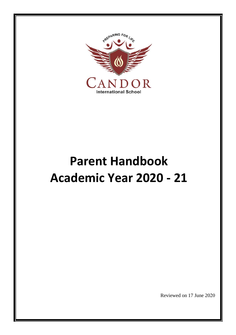

# **Parent Handbook Academic Year 2020 - 21**

Reviewed on 17 June 2020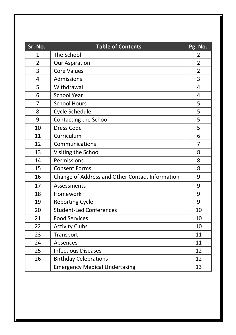| Sr. No.        | <b>Table of Contents</b>                        | Pg. No.        |
|----------------|-------------------------------------------------|----------------|
| $\mathbf{1}$   | The School                                      | 2              |
| 2              | <b>Our Aspiration</b>                           | $\overline{2}$ |
| 3              | <b>Core Values</b>                              | $\overline{2}$ |
| 4              | Admissions                                      | 3              |
| 5              | Withdrawal                                      | 4              |
| 6              | <b>School Year</b>                              | 4              |
| $\overline{7}$ | <b>School Hours</b>                             | 5              |
| 8              | Cycle Schedule                                  | 5              |
| 9              | Contacting the School                           | 5              |
| 10             | <b>Dress Code</b>                               | 5              |
| 11             | Curriculum                                      | 6              |
| 12             | Communications                                  | 7              |
| 13             | Visiting the School                             | 8              |
| 14             | Permissions                                     | 8              |
| 15             | <b>Consent Forms</b>                            | 8              |
| 16             | Change of Address and Other Contact Information | 9              |
| 17             | Assessments                                     | 9              |
| 18             | Homework                                        | 9              |
| 19             | <b>Reporting Cycle</b>                          | 9              |
| 20             | <b>Student-Led Conferences</b>                  | 10             |
| 21             | <b>Food Services</b>                            | 10             |
| 22             | <b>Activity Clubs</b>                           | 10             |
| 23             | Transport                                       | 11             |
| 24             | Absences                                        | 11             |
| 25             | <b>Infectious Diseases</b>                      | 12             |
| 26             | <b>Birthday Celebrations</b>                    | 12             |
|                | <b>Emergency Medical Undertaking</b>            | 13             |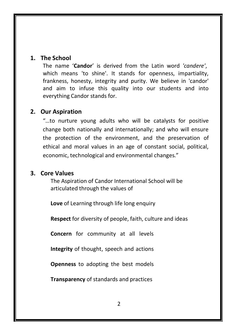# **1. The School**

The name '**Candor**' is derived from the Latin word *'candere'*, which means 'to shine'. It stands for openness, impartiality, frankness, honesty, integrity and purity. We believe in 'candor' and aim to infuse this quality into our students and into everything Candor stands for.

# **2. Our Aspiration**

"…to nurture young adults who will be catalysts for positive change both nationally and internationally; and who will ensure the protection of the environment, and the preservation of ethical and moral values in an age of constant social, political, economic, technological and environmental changes."

# **3. Core Values**

The Aspiration of Candor International School will be articulated through the values of

**Love** of Learning through life long enquiry

**Respect** for diversity of people, faith, culture and ideas

**Concern** for community at all levels

**Integrity** of thought, speech and actions

**Openness** to adopting the best models

**Transparency** of standards and practices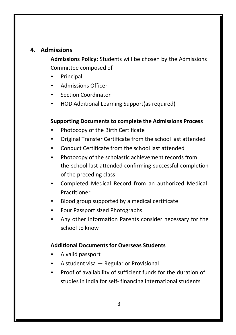# **4. Admissions**

**Admissions Policy:** Students will be chosen by the Admissions Committee composed of

- **Principal**
- Admissions Officer
- Section Coordinator
- HOD Additional Learning Support(as required)

#### **Supporting Documents to complete the Admissions Process**

- Photocopy of the Birth Certificate
- Original Transfer Certificate from the school last attended
- Conduct Certificate from the school last attended
- Photocopy of the scholastic achievement records from the school last attended confirming successful completion of the preceding class
- Completed Medical Record from an authorized Medical Practitioner
- Blood group supported by a medical certificate
- Four Passport sized Photographs
- Any other information Parents consider necessary for the school to know

# **Additional Documents for Overseas Students**

- A valid passport
- A student visa Regular or Provisional
- Proof of availability of sufficient funds for the duration of studies in India for self- financing international students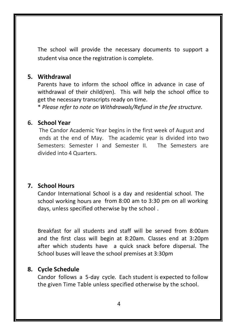The school will provide the necessary documents to support a student visa once the registration is complete.

# **5. Withdrawal**

Parents have to inform the school office in advance in case of withdrawal of their child(ren). This will help the school office to get the necessary transcripts ready on time.

\* *Please refer to note on Withdrawals/Refund in the fee structure.*

### **6. School Year**

The Candor Academic Year begins in the first week of August and ends at the end of May. The academic year is divided into two Semesters: Semester I and Semester II. The Semesters are divided into 4 Quarters.

# **7. School Hours**

Candor International School is a day and residential school. The school working hours are from 8:00 am to 3:30 pm on all working days, unless specified otherwise by the school .

Breakfast for all students and staff will be served from 8:00am and the first class will begin at 8:20am. Classes end at 3:20pm after which students have a quick snack before dispersal. The School buses will leave the school premises at 3:30pm

# **8. Cycle Schedule**

Candor follows a 5-day cycle. Each student is expected to follow the given Time Table unless specified otherwise by the school.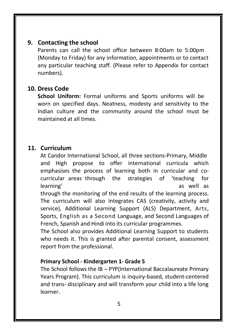#### **9. Contacting the school**

Parents can call the school office between 8:00am to 5:00pm (Monday to Friday) for any information, appointments or to contact any particular teaching staff. (Please refer to Appendix for contact numbers).

# **10. Dress Code**

**School Uniform:** Formal uniforms and Sports uniforms will be worn on specified days. Neatness, modesty and sensitivity to the Indian culture and the community around the school must be maintained at all times.

# **11. Curriculum**

At Candor International School, all three sections-Primary, Middle and High propose to offer international curricula which emphasises the process of learning both in curricular and cocurricular areas through the strategies of 'teaching for learning' as well as well as well as well as well as well as  $\alpha$ 

through the monitoring of the end results of the learning process. The curriculum will also integrates CAS (creativity, activity and service), Additional Learning Support (ALS) Department, Arts, Sports, English as a Second Language, and Second Languages of French, Spanish and Hindi into its curricular programmes.

The School also provides Additional Learning Support to students who needs it. This is granted after parental consent, assessment report from the professional.

#### **Primary School - Kindergarten 1- Grade 5**

The School follows the IB – PYP(International Baccalaureate Primary Years Program). This curriculum is inquiry-based, student-centered and trans- disciplinary and will transform your child into a life long learner.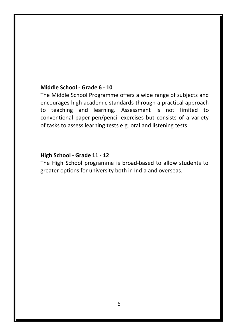#### **Middle School - Grade 6 - 10**

The Middle School Programme offers a wide range of subjects and encourages high academic standards through a practical approach to teaching and learning. Assessment is not limited to conventional paper-pen/pencil exercises but consists of a variety of tasks to assess learning tests e.g. oral and listening tests.

# **High School - Grade 11 - 12**

The High School programme is broad-based to allow students to greater options for university both in India and overseas.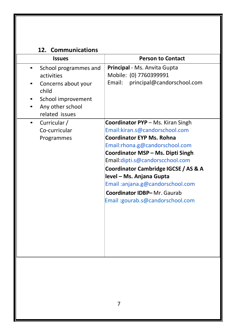# **12. Communications**

| <b>Issues</b>                                                                                                                   | <b>Person to Contact</b>                                                                                                                                                                                                                                                                                                                                                                           |  |
|---------------------------------------------------------------------------------------------------------------------------------|----------------------------------------------------------------------------------------------------------------------------------------------------------------------------------------------------------------------------------------------------------------------------------------------------------------------------------------------------------------------------------------------------|--|
| School programmes and<br>activities<br>Concerns about your<br>child<br>School improvement<br>Any other school<br>related issues | Principal - Ms. Anvita Gupta<br>Mobile: (0) 7760399991<br>Email:<br>principal@candorschool.com                                                                                                                                                                                                                                                                                                     |  |
| Curricular /<br>٠<br>Co-curricular<br>Programmes                                                                                | Coordinator PYP - Ms. Kiran Singh<br>Email:kiran.s@candorschool.com<br><b>Coordinator EYP Ms. Rohna</b><br>Email:rhona.g@candorschool.com<br>Coordinator MSP - Ms. Dipti Singh<br>Email:dipti.s@candorscchool.com<br>Coordinator Cambridge IGCSE / AS & A<br>level - Ms. Anjana Gupta<br>Email:anjana.g@candorschool.com<br><b>Coordinator IDBP-Mr. Gaurab</b><br>Email: gourab.s@candorschool.com |  |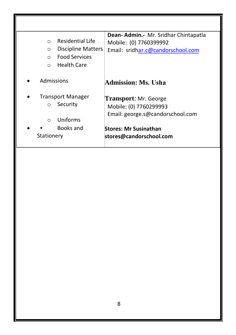|                                      | Dean-Admin.- Mr. Sridhar Chintapatla |
|--------------------------------------|--------------------------------------|
| Residential Life<br>$\bigcap$        | Mobile: (0) 7760399992               |
| <b>Discipline Matters</b><br>$\circ$ | Email: sridhar.c@candorschool.com    |
| <b>Food Services</b><br>$\bigcap$    |                                      |
| Health Care<br>$\bigcirc$            |                                      |
| Admissions                           | Admission: Ms. Usha                  |
| <b>Transport Manager</b>             | <b>Transport:</b> Mr. George         |
| Security<br>$\Omega$                 | Mobile: (0) 7760299993               |
| Uniforms<br>$\bigcap$                | Email: george.s@candorschool.com     |
| Books and                            | <b>Stores: Mr Susinathan</b>         |
| Stationery                           | stores@candorschool.com              |
|                                      |                                      |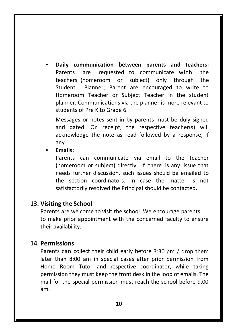• **Daily communication between parents and teachers:** Parents are requested to communicate with the teachers (homeroom or subject) only through the Student Planner; Parent are encouraged to write to Homeroom Teacher or Subject Teacher in the student planner. Communications via the planner is more relevant to students of Pre K to Grade 6.

Messages or notes sent in by parents must be duly signed and dated. On receipt, the respective teacher(s) will acknowledge the note as read followed by a response, if any.

• **Emails:**

Parents can communicate via email to the teacher (homeroom or subject) directly. If there is any issue that needs further discussion, such issues should be emailed to the section coordinators. In case the matter is not satisfactorily resolved the Principal should be contacted.

# **13. Visiting the School**

Parents are welcome to visit the school. We encourage parents to make prior appointment with the concerned faculty to ensure their availability.

#### **14. Permissions**

Parents can collect their child early before 3:30 pm / drop them later than 8:00 am in special cases after prior permission from Home Room Tutor and respective coordinator, while taking permission they must keep the front desk in the loop of emails. The mail for the special permission must reach the school before 9.00 am.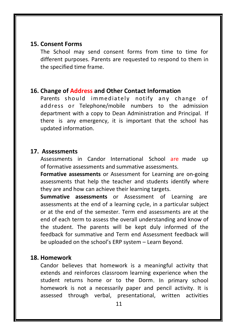#### **15. Consent Forms**

The School may send consent forms from time to time for different purposes. Parents are requested to respond to them in the specified time frame.

#### **16. Change of Address and Other Contact Information**

Parents should immediately notify any change of address or Telephone/mobile numbers to the admission department with a copy to Dean Administration and Principal. If there is any emergency, it is important that the school has updated information.

#### **17. Assessments**

Assessments in Candor International School are made up of formative assessments and summative assessments.

**Formative assessments** or Assessment for Learning are on-going assessments that help the teacher and students identify where they are and how can achieve their learning targets.

**Summative assessments** or Assessment of Learning are assessments at the end of a learning cycle, in a particular subject or at the end of the semester. Term end assessments are at the end of each term to assess the overall understanding and know of the student. The parents will be kept duly informed of the feedback for summative and Term end Assessment feedback will be uploaded on the school's ERP system – Learn Beyond.

#### **18. Homework**

Candor believes that homework is a meaningful activity that extends and reinforces classroom learning experience when the student returns home or to the Dorm. In primary school homework is not a necessarily paper and pencil activity. It is assessed through verbal, presentational, written activities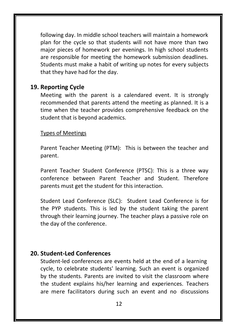following day. In middle school teachers will maintain a homework plan for the cycle so that students will not have more than two major pieces of homework per evenings. In high school students are responsible for meeting the homework submission deadlines. Students must make a habit of writing up notes for every subjects that they have had for the day.

#### **19. Reporting Cycle**

Meeting with the parent is a calendared event. It is strongly recommended that parents attend the meeting as planned. It is a time when the teacher provides comprehensive feedback on the student that is beyond academics.

#### Types of Meetings

Parent Teacher Meeting (PTM): This is between the teacher and parent.

Parent Teacher Student Conference (PTSC): This is a three way conference between Parent Teacher and Student. Therefore parents must get the student for this interaction.

Student Lead Conference (SLC): Student Lead Conference is for the PYP students. This is led by the student taking the parent through their learning journey. The teacher plays a passive role on the day of the conference.

# **20. Student-Led Conferences**

Student-led conferences are events held at the end of a learning cycle, to celebrate students' learning. Such an event is organized by the students. Parents are invited to visit the classroom where the student explains his/her learning and experiences. Teachers are mere facilitators during such an event and no discussions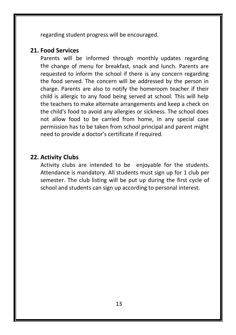regarding student progress will be encouraged.

#### **21. Food Services**

Parents will be informed through monthly updates regarding the change of menu for breakfast, snack and lunch. Parents are requested to inform the school if there is any concern regarding the food served. The concern will be addressed by the person in charge. Parents are also to notify the homeroom teacher if their child is allergic to any food being served at school. This will help the teachers to make alternate arrangements and keep a check on the child's food to avoid any allergies or sickness. The school does not allow food to be carried from home, In any special case permission has to be taken from school principal and parent might need to provide a doctor's certificate if required.

# **22. Activity Clubs**

Activity clubs are intended to be enjoyable for the students. Attendance is mandatory. All students must sign up for 1 club per semester. The club listing will be put up during the first cycle of school and students can sign up according to personal interest.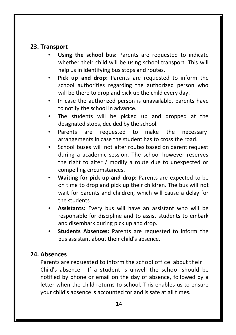# **23. Transport**

- **Using the school bus:** Parents are requested to indicate whether their child will be using school transport. This will help us in identifying bus stops and routes.
- **Pick up and drop:** Parents are requested to inform the school authorities regarding the authorized person who will be there to drop and pick up the child every day.
- In case the authorized person is unavailable, parents have to notify the school in advance.
- The students will be picked up and dropped at the designated stops, decided by the school.
- Parents are requested to make the necessary arrangements in case the student has to cross the road.
- School buses will not alter routes based on parent request during a academic session. The school however reserves the right to alter / modify a route due to unexpected or compelling circumstances.
- **Waiting for pick up and drop:** Parents are expected to be on time to drop and pick up their children. The bus will not wait for parents and children, which will cause a delay for the students.
- **Assistants:** Every bus will have an assistant who will be responsible for discipline and to assist students to embark and disembark during pick up and drop.
- **Students Absences:** Parents are requested to inform the bus assistant about their child's absence.

# **24. Absences**

Parents are requested to inform the school office about their Child's absence. If a student is unwell the school should be notified by phone or email on the day of absence, followed by a letter when the child returns to school. This enables us to ensure your child's absence is accounted for and is safe at all times.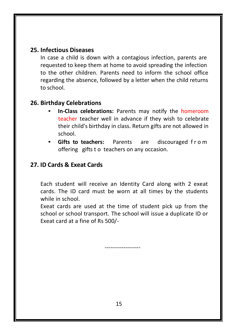# **25. Infectious Diseases**

In case a child is down with a contagious infection, parents are requested to keep them at home to avoid spreading the infection to the other children. Parents need to inform the school office regarding the absence, followed by a letter when the child returns to school.

# **26. Birthday Celebrations**

- **In-Class celebrations:** Parents may notify the homeroom teacher teacher well in advance if they wish to celebrate their child's birthday in class. Return gifts are not allowed in school.
- **Gifts to teachers:** Parents are discouraged f r o m offering gifts t o teachers on any occasion.

# **27. ID Cards & Exeat Cards**

Each student will receive an Identity Card along with 2 exeat cards. The ID card must be worn at all times by the students while in school.

Exeat cards are used at the time of student pick up from the school or school transport. The school will issue a duplicate ID or Exeat card at a fine of Rs 500/-

-------------------